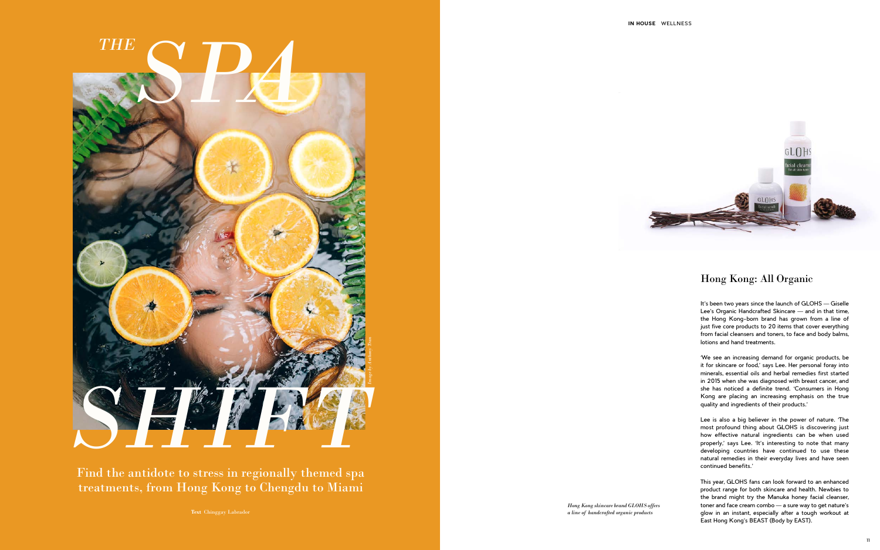## Hong Kong: All Organic

It's been two years since the launch of GLOHS - Giselle Lee's Organic Handcrafted Skincare — and in that time, the Hong Kong-born brand has grown from a line of just five core products to 20 items that cover everything from facial cleansers and toners, to face and body balms, lotions and hand treatments.

'We see an increasing demand for organic products, be it for skincare or food,' says Lee. Her personal foray into minerals, essential oils and herbal remedies first started in 2015 when she was diagnosed with breast cancer, and she has noticed a definite trend. 'Consumers in Hong Kong are placing an increasing emphasis on the true quality and ingredients of their products.'



Lee is also a big believer in the power of nature. 'The most profound thing about GLOHS is discovering just how effective natural ingredients can be when used properly,' says Lee. 'It's interesting to note that many developing countries have continued to use these natural remedies in their everyday lives and have seen continued benefits.'

This year, GLOHS fans can look forward to an enhanced product range for both skincare and health. Newbies to the brand might try the Manuka honey facial cleanser, toner and face cream combo — a sure way to get nature's glow in an instant, especially after a tough workout at East Hong Kong's BEAST (Body by EAST).



*Hong Kong skincare brand GLOHS offers a line of handcrafted organic products*

Find the antidote to stress in regionally themed spa treatments, from Hong Kong to Chengdu to Miami

**Text** Chinggay Labrador